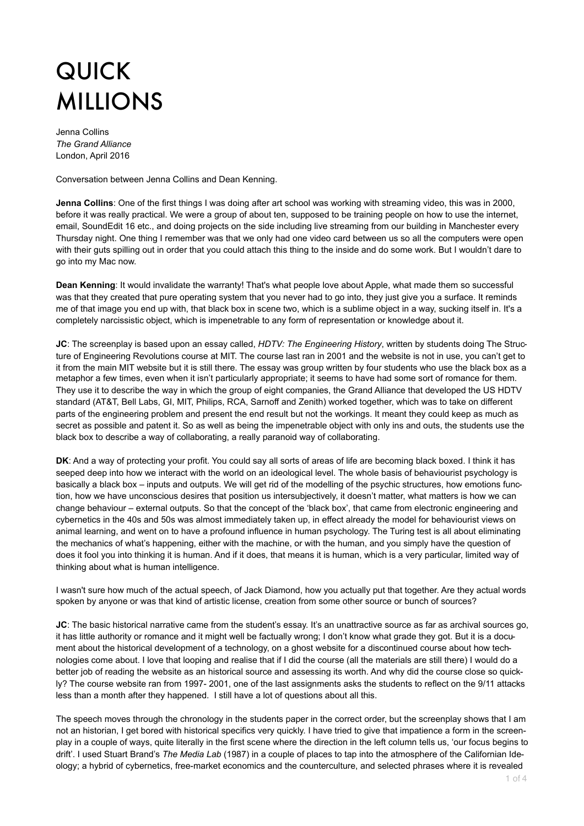## QUICK MILLIONS

Jenna Collins *The Grand Alliance*  London, April 2016

Conversation between Jenna Collins and Dean Kenning.

**Jenna Collins**: One of the first things I was doing after art school was working with streaming video, this was in 2000, before it was really practical. We were a group of about ten, supposed to be training people on how to use the internet, email, SoundEdit 16 etc., and doing projects on the side including live streaming from our building in Manchester every Thursday night. One thing I remember was that we only had one video card between us so all the computers were open with their guts spilling out in order that you could attach this thing to the inside and do some work. But I wouldn't dare to go into my Mac now.

**Dean Kenning**: It would invalidate the warranty! That's what people love about Apple, what made them so successful was that they created that pure operating system that you never had to go into, they just give you a surface. It reminds me of that image you end up with, that black box in scene two, which is a sublime object in a way, sucking itself in. It's a completely narcissistic object, which is impenetrable to any form of representation or knowledge about it.

**JC**: The screenplay is based upon an essay called, *HDTV: The Engineering History*, written by students doing The Structure of Engineering Revolutions course at MIT. The course last ran in 2001 and the website is not in use, you can't get to it from the main MIT website but it is still there. The essay was group written by four students who use the black box as a metaphor a few times, even when it isn't particularly appropriate; it seems to have had some sort of romance for them. They use it to describe the way in which the group of eight companies, the Grand Alliance that developed the US HDTV standard (AT&T, Bell Labs, GI, MIT, Philips, RCA, Sarnoff and Zenith) worked together, which was to take on different parts of the engineering problem and present the end result but not the workings. It meant they could keep as much as secret as possible and patent it. So as well as being the impenetrable object with only ins and outs, the students use the black box to describe a way of collaborating, a really paranoid way of collaborating.

**DK**: And a way of protecting your profit. You could say all sorts of areas of life are becoming black boxed. I think it has seeped deep into how we interact with the world on an ideological level. The whole basis of behaviourist psychology is basically a black box – inputs and outputs. We will get rid of the modelling of the psychic structures, how emotions function, how we have unconscious desires that position us intersubjectively, it doesn't matter, what matters is how we can change behaviour – external outputs. So that the concept of the 'black box', that came from electronic engineering and cybernetics in the 40s and 50s was almost immediately taken up, in effect already the model for behaviourist views on animal learning, and went on to have a profound influence in human psychology. The Turing test is all about eliminating the mechanics of what's happening, either with the machine, or with the human, and you simply have the question of does it fool you into thinking it is human. And if it does, that means it is human, which is a very particular, limited way of thinking about what is human intelligence.

I wasn't sure how much of the actual speech, of Jack Diamond, how you actually put that together. Are they actual words spoken by anyone or was that kind of artistic license, creation from some other source or bunch of sources?

**JC**: The basic historical narrative came from the student's essay. It's an unattractive source as far as archival sources go, it has little authority or romance and it might well be factually wrong; I don't know what grade they got. But it is a document about the historical development of a technology, on a ghost website for a discontinued course about how technologies come about. I love that looping and realise that if I did the course (all the materials are still there) I would do a better job of reading the website as an historical source and assessing its worth. And why did the course close so quickly? The course website ran from 1997- 2001, one of the last assignments asks the students to reflect on the 9/11 attacks less than a month after they happened. I still have a lot of questions about all this.

The speech moves through the chronology in the students paper in the correct order, but the screenplay shows that I am not an historian, I get bored with historical specifics very quickly. I have tried to give that impatience a form in the screenplay in a couple of ways, quite literally in the first scene where the direction in the left column tells us, 'our focus begins to drift'. I used Stuart Brand's *The Media Lab* (1987) in a couple of places to tap into the atmosphere of the Californian Ideology; a hybrid of cybernetics, free-market economics and the counterculture, and selected phrases where it is revealed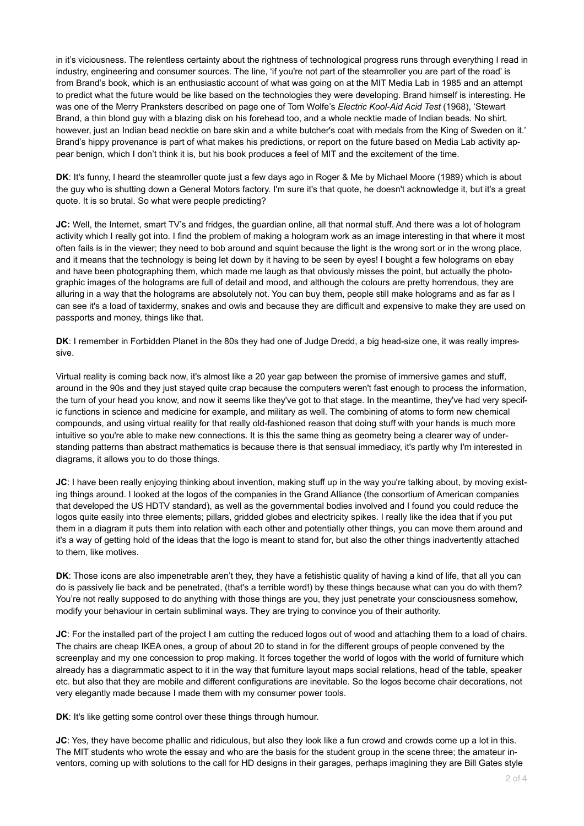in it's viciousness. The relentless certainty about the rightness of technological progress runs through everything I read in industry, engineering and consumer sources. The line, 'if you're not part of the steamroller you are part of the road' is from Brand's book, which is an enthusiastic account of what was going on at the MIT Media Lab in 1985 and an attempt to predict what the future would be like based on the technologies they were developing. Brand himself is interesting. He was one of the Merry Pranksters described on page one of Tom Wolfe's *Electric Kool-Aid Acid Test* (1968), 'Stewart Brand, a thin blond guy with a blazing disk on his forehead too, and a whole necktie made of Indian beads. No shirt, however, just an Indian bead necktie on bare skin and a white butcher's coat with medals from the King of Sweden on it.' Brand's hippy provenance is part of what makes his predictions, or report on the future based on Media Lab activity appear benign, which I don't think it is, but his book produces a feel of MIT and the excitement of the time.

**DK**: It's funny, I heard the steamroller quote just a few days ago in Roger & Me by Michael Moore (1989) which is about the guy who is shutting down a General Motors factory. I'm sure it's that quote, he doesn't acknowledge it, but it's a great quote. It is so brutal. So what were people predicting?

**JC:** Well, the Internet, smart TV's and fridges, the guardian online, all that normal stuff. And there was a lot of hologram activity which I really got into. I find the problem of making a hologram work as an image interesting in that where it most often fails is in the viewer; they need to bob around and squint because the light is the wrong sort or in the wrong place, and it means that the technology is being let down by it having to be seen by eyes! I bought a few holograms on ebay and have been photographing them, which made me laugh as that obviously misses the point, but actually the photographic images of the holograms are full of detail and mood, and although the colours are pretty horrendous, they are alluring in a way that the holograms are absolutely not. You can buy them, people still make holograms and as far as I can see it's a load of taxidermy, snakes and owls and because they are difficult and expensive to make they are used on passports and money, things like that.

**DK**: I remember in Forbidden Planet in the 80s they had one of Judge Dredd, a big head-size one, it was really impressive.

Virtual reality is coming back now, it's almost like a 20 year gap between the promise of immersive games and stuff, around in the 90s and they just stayed quite crap because the computers weren't fast enough to process the information, the turn of your head you know, and now it seems like they've got to that stage. In the meantime, they've had very specific functions in science and medicine for example, and military as well. The combining of atoms to form new chemical compounds, and using virtual reality for that really old-fashioned reason that doing stuff with your hands is much more intuitive so you're able to make new connections. It is this the same thing as geometry being a clearer way of understanding patterns than abstract mathematics is because there is that sensual immediacy, it's partly why I'm interested in diagrams, it allows you to do those things.

**JC**: I have been really enjoying thinking about invention, making stuff up in the way you're talking about, by moving existing things around. I looked at the logos of the companies in the Grand Alliance (the consortium of American companies that developed the US HDTV standard), as well as the governmental bodies involved and I found you could reduce the logos quite easily into three elements; pillars, gridded globes and electricity spikes. I really like the idea that if you put them in a diagram it puts them into relation with each other and potentially other things, you can move them around and it's a way of getting hold of the ideas that the logo is meant to stand for, but also the other things inadvertently attached to them, like motives.

**DK**: Those icons are also impenetrable aren't they, they have a fetishistic quality of having a kind of life, that all you can do is passively lie back and be penetrated, (that's a terrible word!) by these things because what can you do with them? You're not really supposed to do anything with those things are you, they just penetrate your consciousness somehow, modify your behaviour in certain subliminal ways. They are trying to convince you of their authority.

**JC**: For the installed part of the project I am cutting the reduced logos out of wood and attaching them to a load of chairs. The chairs are cheap IKEA ones, a group of about 20 to stand in for the different groups of people convened by the screenplay and my one concession to prop making. It forces together the world of logos with the world of furniture which already has a diagrammatic aspect to it in the way that furniture layout maps social relations, head of the table, speaker etc. but also that they are mobile and different configurations are inevitable. So the logos become chair decorations, not very elegantly made because I made them with my consumer power tools.

**DK:** It's like getting some control over these things through humour.

**JC**: Yes, they have become phallic and ridiculous, but also they look like a fun crowd and crowds come up a lot in this. The MIT students who wrote the essay and who are the basis for the student group in the scene three; the amateur inventors, coming up with solutions to the call for HD designs in their garages, perhaps imagining they are Bill Gates style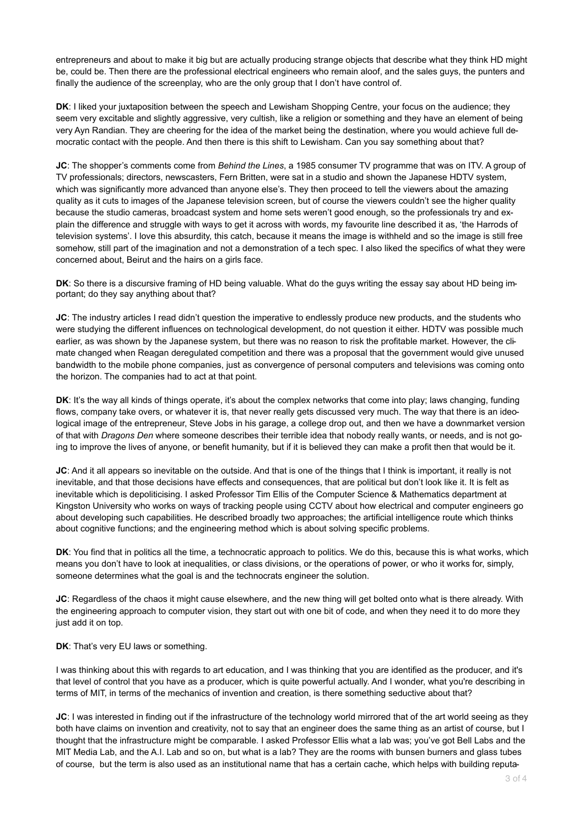entrepreneurs and about to make it big but are actually producing strange objects that describe what they think HD might be, could be. Then there are the professional electrical engineers who remain aloof, and the sales guys, the punters and finally the audience of the screenplay, who are the only group that I don't have control of.

**DK**: I liked your juxtaposition between the speech and Lewisham Shopping Centre, your focus on the audience; they seem very excitable and slightly aggressive, very cultish, like a religion or something and they have an element of being very Ayn Randian. They are cheering for the idea of the market being the destination, where you would achieve full democratic contact with the people. And then there is this shift to Lewisham. Can you say something about that?

**JC**: The shopper's comments come from *Behind the Lines*, a 1985 consumer TV programme that was on ITV. A group of TV professionals; directors, newscasters, Fern Britten, were sat in a studio and shown the Japanese HDTV system, which was significantly more advanced than anyone else's. They then proceed to tell the viewers about the amazing quality as it cuts to images of the Japanese television screen, but of course the viewers couldn't see the higher quality because the studio cameras, broadcast system and home sets weren't good enough, so the professionals try and explain the difference and struggle with ways to get it across with words, my favourite line described it as, 'the Harrods of television systems'. I love this absurdity, this catch, because it means the image is withheld and so the image is still free somehow, still part of the imagination and not a demonstration of a tech spec. I also liked the specifics of what they were concerned about, Beirut and the hairs on a girls face.

**DK**: So there is a discursive framing of HD being valuable. What do the guys writing the essay say about HD being important; do they say anything about that?

**JC**: The industry articles I read didn't question the imperative to endlessly produce new products, and the students who were studying the different influences on technological development, do not question it either. HDTV was possible much earlier, as was shown by the Japanese system, but there was no reason to risk the profitable market. However, the climate changed when Reagan deregulated competition and there was a proposal that the government would give unused bandwidth to the mobile phone companies, just as convergence of personal computers and televisions was coming onto the horizon. The companies had to act at that point.

**DK**: It's the way all kinds of things operate, it's about the complex networks that come into play; laws changing, funding flows, company take overs, or whatever it is, that never really gets discussed very much. The way that there is an ideological image of the entrepreneur, Steve Jobs in his garage, a college drop out, and then we have a downmarket version of that with *Dragons Den* where someone describes their terrible idea that nobody really wants, or needs, and is not going to improve the lives of anyone, or benefit humanity, but if it is believed they can make a profit then that would be it.

**JC**: And it all appears so inevitable on the outside. And that is one of the things that I think is important, it really is not inevitable, and that those decisions have effects and consequences, that are political but don't look like it. It is felt as inevitable which is depoliticising. I asked Professor Tim Ellis of the Computer Science & Mathematics department at Kingston University who works on ways of tracking people using CCTV about how electrical and computer engineers go about developing such capabilities. He described broadly two approaches; the artificial intelligence route which thinks about cognitive functions; and the engineering method which is about solving specific problems.

**DK**: You find that in politics all the time, a technocratic approach to politics. We do this, because this is what works, which means you don't have to look at inequalities, or class divisions, or the operations of power, or who it works for, simply, someone determines what the goal is and the technocrats engineer the solution.

**JC**: Regardless of the chaos it might cause elsewhere, and the new thing will get bolted onto what is there already. With the engineering approach to computer vision, they start out with one bit of code, and when they need it to do more they just add it on top.

## **DK**: That's very EU laws or something.

I was thinking about this with regards to art education, and I was thinking that you are identified as the producer, and it's that level of control that you have as a producer, which is quite powerful actually. And I wonder, what you're describing in terms of MIT, in terms of the mechanics of invention and creation, is there something seductive about that?

**JC**: I was interested in finding out if the infrastructure of the technology world mirrored that of the art world seeing as they both have claims on invention and creativity, not to say that an engineer does the same thing as an artist of course, but I thought that the infrastructure might be comparable. I asked Professor Ellis what a lab was; you've got Bell Labs and the MIT Media Lab, and the A.I. Lab and so on, but what is a lab? They are the rooms with bunsen burners and glass tubes of course, but the term is also used as an institutional name that has a certain cache, which helps with building reputa